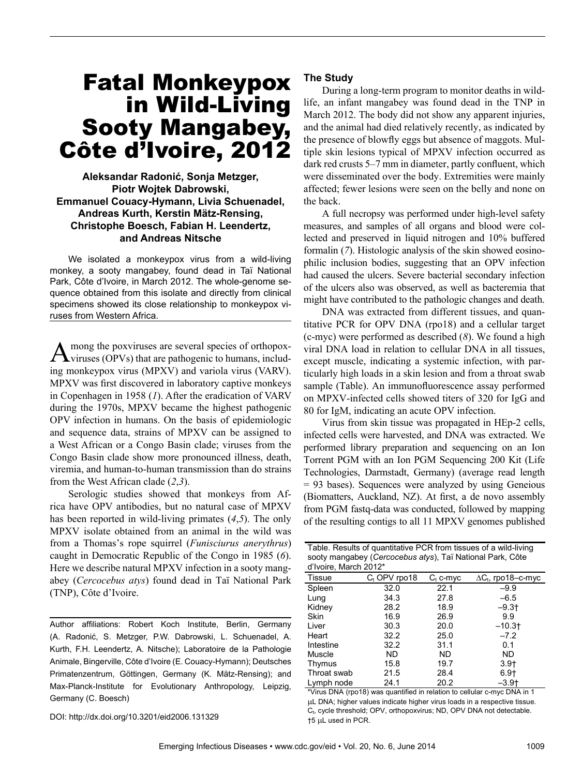# Fatal Monkeypox in Wild-Living Sooty Mangabey, Côte d'Ivoire, 2012

# **Aleksandar Radonić, Sonja Metzger, Piotr Wojtek Dabrowski, Emmanuel Couacy-Hymann, Livia Schuenadel, Andreas Kurth, Kerstin Mätz-Rensing, Christophe Boesch, Fabian H. Leendertz, and Andreas Nitsche**

We isolated a monkeypox virus from a wild-living monkey, a sooty mangabey, found dead in Taï National Park, Côte d'Ivoire, in March 2012. The whole-genome sequence obtained from this isolate and directly from clinical specimens showed its close relationship to monkeypox viruses from Western Africa.

A mong the poxviruses are several species of orthopox-<br>Viruses (OPVs) that are pathogenic to humans, including monkeypox virus (MPXV) and variola virus (VARV). MPXV was first discovered in laboratory captive monkeys in Copenhagen in 1958 (*1*). After the eradication of VARV during the 1970s, MPXV became the highest pathogenic OPV infection in humans. On the basis of epidemiologic and sequence data, strains of MPXV can be assigned to a West African or a Congo Basin clade; viruses from the Congo Basin clade show more pronounced illness, death, viremia, and human-to-human transmission than do strains from the West African clade (*2*,*3*).

Serologic studies showed that monkeys from Africa have OPV antibodies, but no natural case of MPXV has been reported in wild-living primates (*4*,*5*). The only MPXV isolate obtained from an animal in the wild was from a Thomas's rope squirrel (*Funisciurus anerythrus*) caught in Democratic Republic of the Congo in 1985 (*6*). Here we describe natural MPXV infection in a sooty mangabey (*Cercocebus atys*) found dead in Taï National Park (TNP), Côte d'Ivoire.

Author affiliations: Robert Koch Institute, Berlin, Germany (A. Radonić, S. Metzger, P.W. Dabrowski, L. Schuenadel, A. Kurth, F.H. Leendertz, A. Nitsche); Laboratoire de la Pathologie Animale, Bingerville, Côte d'Ivoire (E. Couacy-Hymann); Deutsches Primatenzentrum, Göttingen, Germany (K. Mätz-Rensing); and Max-Planck-Institute for Evolutionary Anthropology, Leipzig, Germany (C. Boesch)

DOI: http://dx.doi.org/10.3201/eid2006.131329

## **The Study**

During a long-term program to monitor deaths in wildlife, an infant mangabey was found dead in the TNP in March 2012. The body did not show any apparent injuries, and the animal had died relatively recently, as indicated by the presence of blowfly eggs but absence of maggots. Multiple skin lesions typical of MPXV infection occurred as dark red crusts 5–7 mm in diameter, partly confluent, which were disseminated over the body. Extremities were mainly affected; fewer lesions were seen on the belly and none on the back.

A full necropsy was performed under high-level safety measures, and samples of all organs and blood were collected and preserved in liquid nitrogen and 10% buffered formalin (*7*). Histologic analysis of the skin showed eosinophilic inclusion bodies, suggesting that an OPV infection had caused the ulcers. Severe bacterial secondary infection of the ulcers also was observed, as well as bacteremia that might have contributed to the pathologic changes and death.

DNA was extracted from different tissues, and quantitative PCR for OPV DNA (rpo18) and a cellular target (c-myc) were performed as described (*8*). We found a high viral DNA load in relation to cellular DNA in all tissues, except muscle, indicating a systemic infection, with particularly high loads in a skin lesion and from a throat swab sample (Table). An immunofluorescence assay performed on MPXV-infected cells showed titers of 320 for IgG and 80 for IgM, indicating an acute OPV infection.

Virus from skin tissue was propagated in HEp-2 cells, infected cells were harvested, and DNA was extracted. We performed library preparation and sequencing on an Ion Torrent PGM with an Ion PGM Sequencing 200 Kit (Life Technologies, Darmstadt, Germany) (average read length = 93 bases). Sequences were analyzed by using Geneious (Biomatters, Auckland, NZ). At first, a de novo assembly from PGM fastq-data was conducted, followed by mapping of the resulting contigs to all 11 MPXV genomes published

| Table. Results of quantitative PCR from tissues of a wild-living<br>sooty mangabey (Cercocebus atys), Taï National Park, Côte<br>d'Ivoire, March 2012* |                 |             |                            |
|--------------------------------------------------------------------------------------------------------------------------------------------------------|-----------------|-------------|----------------------------|
| <b>Tissue</b>                                                                                                                                          | $C_t$ OPV rpo18 | $C_t$ c-myc | $\Delta C_t$ , rpo18–c-myc |
| Spleen                                                                                                                                                 | 32.0            | 22.1        | $-9.9$                     |
| Lung                                                                                                                                                   | 34.3            | 27.8        | $-6.5$                     |
| Kidney                                                                                                                                                 | 28.2            | 18.9        | $-9.3$ t                   |
| Skin                                                                                                                                                   | 16.9            | 26.9        | 9.9                        |
| Liver                                                                                                                                                  | 30.3            | 20.0        | $-10.3$ t                  |
| Heart                                                                                                                                                  | 32.2            | 25.0        | $-7.2$                     |
| Intestine                                                                                                                                              | 32.2            | 31.1        | 0.1                        |
| Muscle                                                                                                                                                 | ND.             | <b>ND</b>   | <b>ND</b>                  |
| Thymus                                                                                                                                                 | 15.8            | 19.7        | $3.9+$                     |
| Throat swab                                                                                                                                            | 21.5            | 28.4        | $6.9+$                     |
| Lymph node                                                                                                                                             | 24.1            | 20.2        | $-3.9$ t                   |

\*Virus DNA (rpo18) was quantified in relation to cellular c-myc DNA in 1 µL DNA; higher values indicate higher virus loads in a respective tissue. C<sub>t</sub>, cycle threshold; OPV, orthopoxvirus; ND, OPV DNA not detectable. †5 L used in PCR.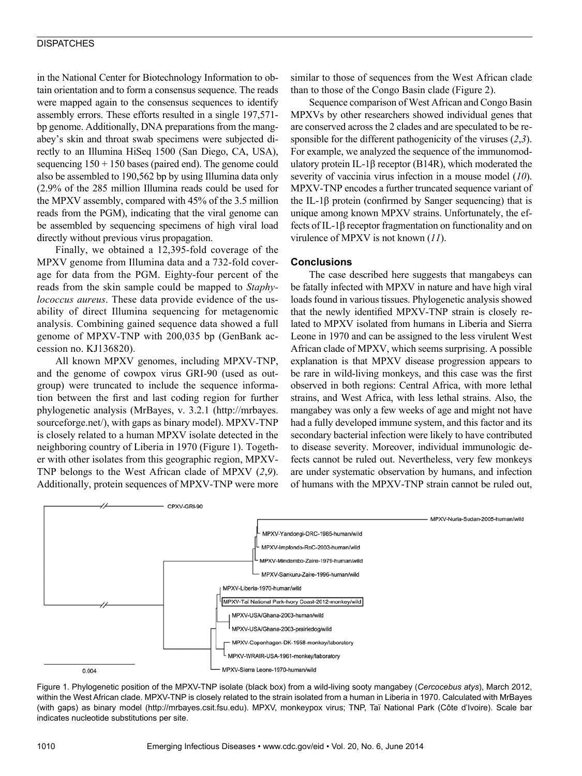### **DISPATCHES**

in the National Center for Biotechnology Information to obtain orientation and to form a consensus sequence. The reads were mapped again to the consensus sequences to identify assembly errors. These efforts resulted in a single 197,571 bp genome. Additionally, DNA preparations from the mangabey's skin and throat swab specimens were subjected directly to an Illumina HiSeq 1500 (San Diego, CA, USA), sequencing  $150 + 150$  bases (paired end). The genome could also be assembled to 190,562 bp by using Illumina data only (2.9% of the 285 million Illumina reads could be used for the MPXV assembly, compared with 45% of the 3.5 million reads from the PGM), indicating that the viral genome can be assembled by sequencing specimens of high viral load directly without previous virus propagation.

Finally, we obtained a 12,395-fold coverage of the MPXV genome from Illumina data and a 732-fold coverage for data from the PGM. Eighty-four percent of the reads from the skin sample could be mapped to *Staphylococcus aureus*. These data provide evidence of the usability of direct Illumina sequencing for metagenomic analysis. Combining gained sequence data showed a full genome of MPXV-TNP with 200,035 bp (GenBank accession no. KJ136820).

All known MPXV genomes, including MPXV-TNP, and the genome of cowpox virus GRI-90 (used as outgroup) were truncated to include the sequence information between the first and last coding region for further phylogenetic analysis (MrBayes, v. 3.2.1 (http://mrbayes. sourceforge.net/), with gaps as binary model). MPXV-TNP is closely related to a human MPXV isolate detected in the neighboring country of Liberia in 1970 (Figure 1). Together with other isolates from this geographic region, MPXV-TNP belongs to the West African clade of MPXV (*2*,*9*). Additionally, protein sequences of MPXV-TNP were more

similar to those of sequences from the West African clade than to those of the Congo Basin clade (Figure 2).

Sequence comparison of West African and Congo Basin MPXVs by other researchers showed individual genes that are conserved across the 2 clades and are speculated to be responsible for the different pathogenicity of the viruses (*2*,*3*). For example, we analyzed the sequence of the immunomodulatory protein IL-1β receptor (B14R), which moderated the severity of vaccinia virus infection in a mouse model (*10*). MPXV-TNP encodes a further truncated sequence variant of the IL-1 $\beta$  protein (confirmed by Sanger sequencing) that is unique among known MPXV strains. Unfortunately, the effects of IL-1β receptor fragmentation on functionality and on virulence of MPXV is not known (*11*).

#### **Conclusions**

The case described here suggests that mangabeys can be fatally infected with MPXV in nature and have high viral loads found in various tissues. Phylogenetic analysis showed that the newly identified MPXV-TNP strain is closely related to MPXV isolated from humans in Liberia and Sierra Leone in 1970 and can be assigned to the less virulent West African clade of MPXV, which seems surprising. A possible explanation is that MPXV disease progression appears to be rare in wild-living monkeys, and this case was the first observed in both regions: Central Africa, with more lethal strains, and West Africa, with less lethal strains. Also, the mangabey was only a few weeks of age and might not have had a fully developed immune system, and this factor and its secondary bacterial infection were likely to have contributed to disease severity. Moreover, individual immunologic defects cannot be ruled out. Nevertheless, very few monkeys are under systematic observation by humans, and infection of humans with the MPXV-TNP strain cannot be ruled out,



Figure 1. Phylogenetic position of the MPXV-TNP isolate (black box) from a wild-living sooty mangabey (*Cercocebus atys*), March 2012, within the West African clade. MPXV-TNP is closely related to the strain isolated from a human in Liberia in 1970. Calculated with MrBayes (with gaps) as binary model (http://mrbayes.csit.fsu.edu). MPXV, monkeypox virus; TNP, Taï National Park (Côte d'Ivoire). Scale bar indicates nucleotide substitutions per site.